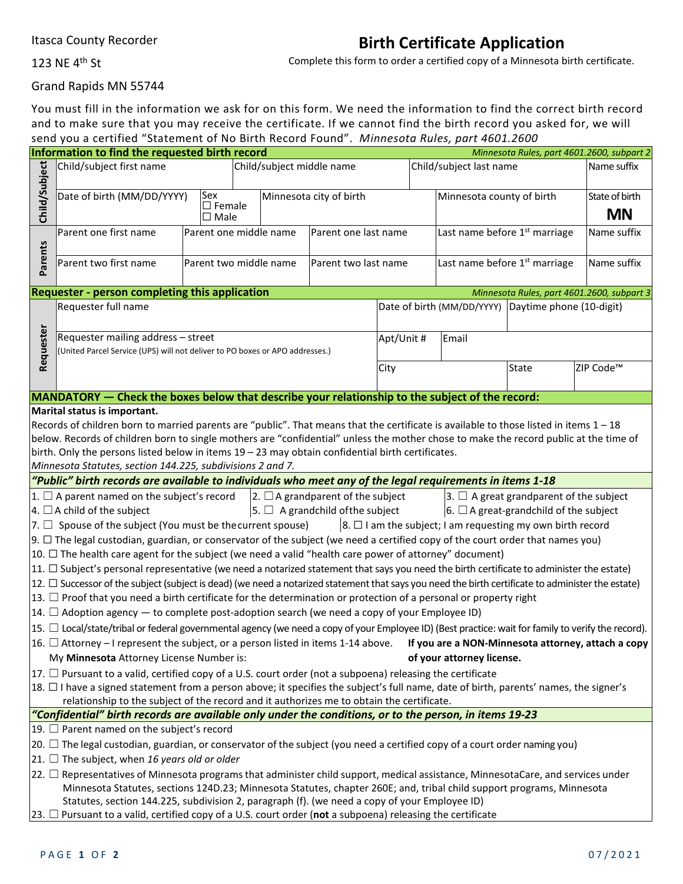## **Birth Certificate Application**

123 NE 4th St

Complete this form to order a certified copy of a Minnesota birth certificate.

Grand Rapids MN 55744

You must fill in the information we ask for on this form. We need the information to find the correct birth record and to make sure that you may receive the certificate. If we cannot find the birth record you asked for, we will send you a certified "Statement of No Birth Record Found". *Minnesota Rules, part 4601.2600*

| Information to find the requested birth record<br>Minnesota Rules, part 4601.2600, subpart 2                                                              |                                                                                                                                    |                                                |                           |                      |  |                                                     |                           |                |  |  |  |  |
|-----------------------------------------------------------------------------------------------------------------------------------------------------------|------------------------------------------------------------------------------------------------------------------------------------|------------------------------------------------|---------------------------|----------------------|--|-----------------------------------------------------|---------------------------|----------------|--|--|--|--|
| Child/Subject                                                                                                                                             | Child/subject first name                                                                                                           |                                                | Child/subject middle name |                      |  |                                                     | Child/subject last name   | Name suffix    |  |  |  |  |
|                                                                                                                                                           | Date of birth (MM/DD/YYYY)                                                                                                         | Sex                                            | Minnesota city of birth   |                      |  |                                                     | Minnesota county of birth | State of birth |  |  |  |  |
|                                                                                                                                                           |                                                                                                                                    | $\square$ Female<br>$\square$ Male             |                           |                      |  |                                                     |                           | <b>MN</b>      |  |  |  |  |
|                                                                                                                                                           | Parent one first name                                                                                                              | Parent one middle name<br>Parent one last name |                           |                      |  | Last name before 1 <sup>st</sup> marriage           |                           | Name suffix    |  |  |  |  |
| Parents                                                                                                                                                   | Parent two first name                                                                                                              | Parent two middle name                         |                           | Parent two last name |  | Last name before 1 <sup>st</sup> marriage           |                           | Name suffix    |  |  |  |  |
|                                                                                                                                                           | <b>Requester - person completing this application</b><br>Minnesota Rules, part 4601.2600, subpart 3                                |                                                |                           |                      |  |                                                     |                           |                |  |  |  |  |
|                                                                                                                                                           | Requester full name                                                                                                                |                                                |                           |                      |  | Date of birth (MM/DD/YYYY) Daytime phone (10-digit) |                           |                |  |  |  |  |
| Requester                                                                                                                                                 | Requester mailing address - street<br>(United Parcel Service (UPS) will not deliver to PO boxes or APO addresses.)                 |                                                |                           |                      |  | Apt/Unit #                                          | Email                     |                |  |  |  |  |
|                                                                                                                                                           |                                                                                                                                    |                                                | City                      |                      |  | State                                               | ZIP Code <sup>™</sup>     |                |  |  |  |  |
|                                                                                                                                                           | MANDATORY - Check the boxes below that describe your relationship to the subject of the record:                                    |                                                |                           |                      |  |                                                     |                           |                |  |  |  |  |
|                                                                                                                                                           | Marital status is important.                                                                                                       |                                                |                           |                      |  |                                                     |                           |                |  |  |  |  |
| Records of children born to married parents are "public". That means that the certificate is available to those listed in items $1-18$                    |                                                                                                                                    |                                                |                           |                      |  |                                                     |                           |                |  |  |  |  |
| below. Records of children born to single mothers are "confidential" unless the mother chose to make the record public at the time of                     |                                                                                                                                    |                                                |                           |                      |  |                                                     |                           |                |  |  |  |  |
| birth. Only the persons listed below in items $19 - 23$ may obtain confidential birth certificates.                                                       |                                                                                                                                    |                                                |                           |                      |  |                                                     |                           |                |  |  |  |  |
| Minnesota Statutes, section 144.225, subdivisions 2 and 7.                                                                                                |                                                                                                                                    |                                                |                           |                      |  |                                                     |                           |                |  |  |  |  |
| "Public" birth records are available to individuals who meet any of the legal requirements in items 1-18                                                  |                                                                                                                                    |                                                |                           |                      |  |                                                     |                           |                |  |  |  |  |
| $ 1. \Box$ A parent named on the subject's record $ 2. \Box$ A grandparent of the subject<br>$ 3. \Box$ A great grandparent of the subject                |                                                                                                                                    |                                                |                           |                      |  |                                                     |                           |                |  |  |  |  |
| $\vert$ 5. $\Box$ A grandchild of the subject<br>$\vert$ 4. $\Box$ A child of the subject<br>$\vert$ 6. $\Box$ A great-grandchild of the subject          |                                                                                                                                    |                                                |                           |                      |  |                                                     |                           |                |  |  |  |  |
| $\vert$ 8. $\Box$ I am the subject; I am requesting my own birth record<br>$ 7. \Box$ Spouse of the subject (You must be the current spouse)              |                                                                                                                                    |                                                |                           |                      |  |                                                     |                           |                |  |  |  |  |
| $9. \Box$ The legal custodian, guardian, or conservator of the subject (we need a certified copy of the court order that names you)                       |                                                                                                                                    |                                                |                           |                      |  |                                                     |                           |                |  |  |  |  |
| 10. $\Box$ The health care agent for the subject (we need a valid "health care power of attorney" document)                                               |                                                                                                                                    |                                                |                           |                      |  |                                                     |                           |                |  |  |  |  |
| $ 11. \Box$ Subject's personal representative (we need a notarized statement that says you need the birth certificate to administer the estate)           |                                                                                                                                    |                                                |                           |                      |  |                                                     |                           |                |  |  |  |  |
| 12. □ Successor of the subject (subject is dead) (we need a notarized statement that says you need the birth certificate to administer the estate)        |                                                                                                                                    |                                                |                           |                      |  |                                                     |                           |                |  |  |  |  |
| $ 13. \Box$ Proof that you need a birth certificate for the determination or protection of a personal or property right                                   |                                                                                                                                    |                                                |                           |                      |  |                                                     |                           |                |  |  |  |  |
| $ 14. \Box$ Adoption agency — to complete post-adoption search (we need a copy of your Employee ID)                                                       |                                                                                                                                    |                                                |                           |                      |  |                                                     |                           |                |  |  |  |  |
| $ 15. \Box$ Local/state/tribal or federal governmental agency (we need a copy of your Employee ID) (Best practice: wait for family to verify the record). |                                                                                                                                    |                                                |                           |                      |  |                                                     |                           |                |  |  |  |  |
| 16. $\Box$ Attorney – I represent the subject, or a person listed in items 1-14 above. If you are a NON-Minnesota attorney, attach a copy                 |                                                                                                                                    |                                                |                           |                      |  |                                                     |                           |                |  |  |  |  |
|                                                                                                                                                           | My Minnesota Attorney License Number is:                                                                                           |                                                |                           |                      |  |                                                     | of your attorney license. |                |  |  |  |  |
|                                                                                                                                                           | $ 17. \Box$ Pursuant to a valid, certified copy of a U.S. court order (not a subpoena) releasing the certificate                   |                                                |                           |                      |  |                                                     |                           |                |  |  |  |  |
| 18. $\Box$ I have a signed statement from a person above; it specifies the subject's full name, date of birth, parents' names, the signer's               |                                                                                                                                    |                                                |                           |                      |  |                                                     |                           |                |  |  |  |  |
| relationship to the subject of the record and it authorizes me to obtain the certificate.                                                                 |                                                                                                                                    |                                                |                           |                      |  |                                                     |                           |                |  |  |  |  |
| "Confidential" birth records are available only under the conditions, or to the person, in items 19-23                                                    |                                                                                                                                    |                                                |                           |                      |  |                                                     |                           |                |  |  |  |  |
| 19. $\Box$ Parent named on the subject's record                                                                                                           |                                                                                                                                    |                                                |                           |                      |  |                                                     |                           |                |  |  |  |  |
|                                                                                                                                                           | $ 20.$ $\Box$ The legal custodian, guardian, or conservator of the subject (you need a certified copy of a court order naming you) |                                                |                           |                      |  |                                                     |                           |                |  |  |  |  |
| $ 21. \Box$ The subject, when 16 years old or older                                                                                                       |                                                                                                                                    |                                                |                           |                      |  |                                                     |                           |                |  |  |  |  |
| $ 22. \Box$ Representatives of Minnesota programs that administer child support, medical assistance, MinnesotaCare, and services under                    |                                                                                                                                    |                                                |                           |                      |  |                                                     |                           |                |  |  |  |  |
|                                                                                                                                                           | Minnesota Statutes, sections 124D.23; Minnesota Statutes, chapter 260E; and, tribal child support programs, Minnesota              |                                                |                           |                      |  |                                                     |                           |                |  |  |  |  |
|                                                                                                                                                           | Statutes, section 144.225, subdivision 2, paragraph (f). (we need a copy of your Employee ID)                                      |                                                |                           |                      |  |                                                     |                           |                |  |  |  |  |
| [23. $\Box$ Pursuant to a valid, certified copy of a U.S. court order (not a subpoena) releasing the certificate                                          |                                                                                                                                    |                                                |                           |                      |  |                                                     |                           |                |  |  |  |  |